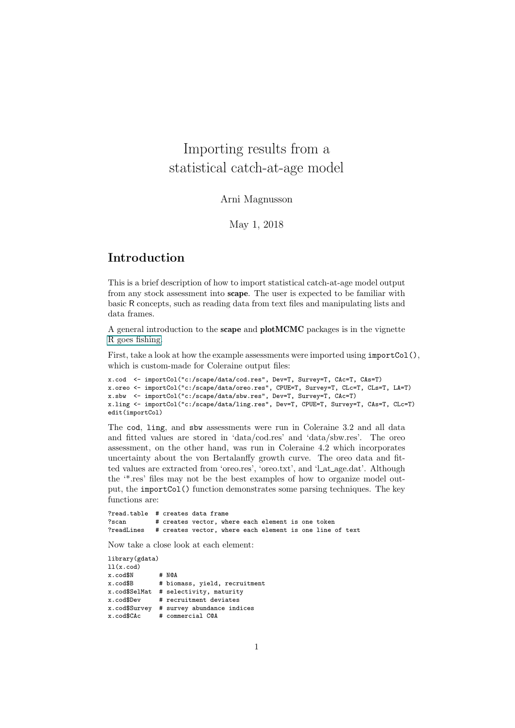## Importing results from a statistical catch-at-age model

Arni Magnusson

May 1, 2018

## Introduction

This is a brief description of how to import statistical catch-at-age model output from any stock assessment into scape. The user is expected to be familiar with basic R concepts, such as reading data from text files and manipulating lists and data frames.

A general introduction to the scape and plotMCMC packages is in the vignette R goes fishing.

First, take a look at how the example assessments were imported using importCol(), which is custom-made for Coleraine output files:

```
x.cod <- importCol("c:/scape/data/cod.res", Dev=T, Survey=T, CAc=T, CAs=T)
x.oreo <- importCol("c:/scape/data/oreo.res", CPUE=T, Survey=T, CLc=T, CLs=T, LA=T)
x.sbw <- importCol("c:/scape/data/sbw.res", Dev=T, Survey=T, CAc=T)
x.ling <- importCol("c:/scape/data/ling.res", Dev=T, CPUE=T, Survey=T, CAs=T, CLc=T)
edit(importCol)
```
The cod, ling, and sbw assessments were run in Coleraine 3.2 and all data and fitted values are stored in 'data/cod.res' and 'data/sbw.res'. The oreo assessment, on the other hand, was run in Coleraine 4.2 which incorporates uncertainty about the von Bertalanffy growth curve. The oreo data and fitted values are extracted from 'oreo.res', 'oreo.txt', and 'Lat\_age.dat'. Although the '\*.res' files may not be the best examples of how to organize model output, the importCol() function demonstrates some parsing techniques. The key functions are:

?read.table # creates data frame ?scan # creates vector, where each element is one token?<br>?readLines # creates vector, where each element is one line. # creates vector, where each element is one line of text

Now take a close look at each element:

library(gdata)  $11(x, cod)$ x.cod\$N # N@A<br>x.cod\$B # bio # biomass, yield, recruitment x.cod\$SelMat # selectivity, maturity # recruitment deviates x.cod\$Survey # survey abundance indices x.cod\$CAc # commercial C@A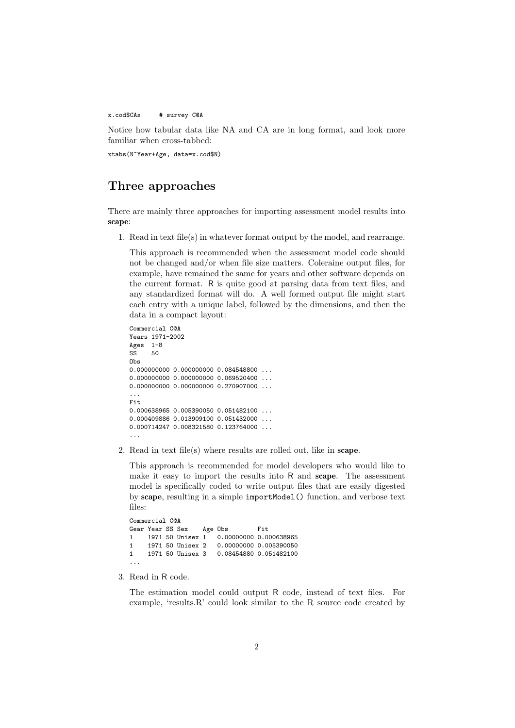x.cod\$CAs # survey C@A

Notice how tabular data like NA and CA are in long format, and look more familiar when cross-tabbed:

xtabs(N~Year+Age, data=x.cod\$N)

## Three approaches

There are mainly three approaches for importing assessment model results into scape:

1. Read in text file(s) in whatever format output by the model, and rearrange.

This approach is recommended when the assessment model code should not be changed and/or when file size matters. Coleraine output files, for example, have remained the same for years and other software depends on the current format. R is quite good at parsing data from text files, and any standardized format will do. A well formed output file might start each entry with a unique label, followed by the dimensions, and then the data in a compact layout:

```
Commercial C@A
Years 1971-2002
Ages 1-8
SS 50
Obs
0.000000000 0.000000000 0.084548800 ...
0.000000000 0.000000000 0.069520400 ...
0.000000000 0.000000000 0.270907000 ...
...
Fit
0.000638965 0.005390050 0.051482100 ...
0.000409886 0.013909100 0.051432000 ...
0.000714247 0.008321580 0.123764000 ...
...
```
2. Read in text file(s) where results are rolled out, like in scape.

This approach is recommended for model developers who would like to make it easy to import the results into R and scape. The assessment model is specifically coded to write output files that are easily digested by scape, resulting in a simple importModel() function, and verbose text files:

```
Commercial C@A
Gear Year SS Sex Age Obs Fit<br>1 1971 50 Unisex 1 0 00000000 0 0
1 1971 50 Unisex 1 0.00000000 0.000638965<br>1 1971 50 Unisex 2 0.00000000 0.005390050
1 1971 50 Unisex 2 0.00000000 0.005390050<br>1 1971 50 Unisex 3 0.08454880 0.051482100
                                       0.08454880 0.051482100
```
3. Read in R code.

The estimation model could output R code, instead of text files. For example, 'results.R' could look similar to the R source code created by